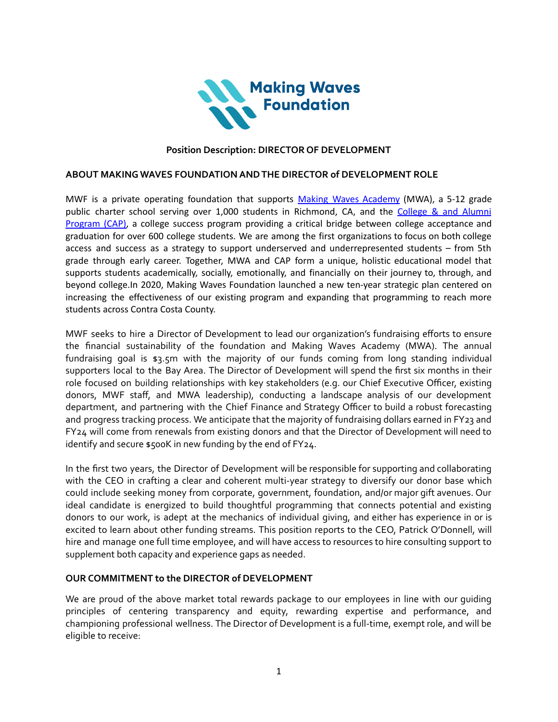

## **Position Description: DIRECTOR OF DEVELOPMENT**

#### **ABOUT MAKING WAVES FOUNDATION ANDTHE DIRECTOR of DEVELOPMENT ROLE**

MWF is a private operating foundation that supports Making Waves [Academy](https://making-waves.org/college-access/making-waves-academy/) (MWA), a 5-12 grade public charter school serving over 1,000 students in Richmond, CA, and the [College](https://making-waves.org/how/cap/) & and Alumni [Program](https://making-waves.org/how/cap/) (CAP), a college success program providing a critical bridge between college acceptance and graduation for over 600 college students. We are among the first organizations to focus on both college access and success as a strategy to support underserved and underrepresented students – from 5th grade through early career. Together, MWA and CAP form a unique, holistic educational model that supports students academically, socially, emotionally, and financially on their journey to, through, and beyond college.In 2020, Making Waves Foundation launched a new ten-year strategic plan centered on increasing the effectiveness of our existing program and expanding that programming to reach more students across Contra Costa County.

MWF seeks to hire a Director of Development to lead our organization's fundraising efforts to ensure the financial sustainability of the foundation and Making Waves Academy (MWA). The annual fundraising goal is \$3.5m with the majority of our funds coming from long standing individual supporters local to the Bay Area. The Director of Development will spend the first six months in their role focused on building relationships with key stakeholders (e.g. our Chief Executive Officer, existing donors, MWF staff, and MWA leadership), conducting a landscape analysis of our development department, and partnering with the Chief Finance and Strategy Officer to build a robust forecasting and progress tracking process. We anticipate that the majority of fundraising dollars earned in FY23 and FY24 will come from renewals from existing donors and that the Director of Development will need to identify and secure \$500K in new funding by the end of FY24.

In the first two years, the Director of Development will be responsible for supporting and collaborating with the CEO in crafting a clear and coherent multi-year strategy to diversify our donor base which could include seeking money from corporate, government, foundation, and/or major gift avenues. Our ideal candidate is energized to build thoughtful programming that connects potential and existing donors to our work, is adept at the mechanics of individual giving, and either has experience in or is excited to learn about other funding streams. This position reports to the CEO, Patrick O'Donnell, will hire and manage one full time employee, and will have access to resources to hire consulting support to supplement both capacity and experience gaps as needed.

### **OUR COMMITMENT to the DIRECTOR of DEVELOPMENT**

We are proud of the above market total rewards package to our employees in line with our guiding principles of centering transparency and equity, rewarding expertise and performance, and championing professional wellness. The Director of Development is a full-time, exempt role, and will be eligible to receive: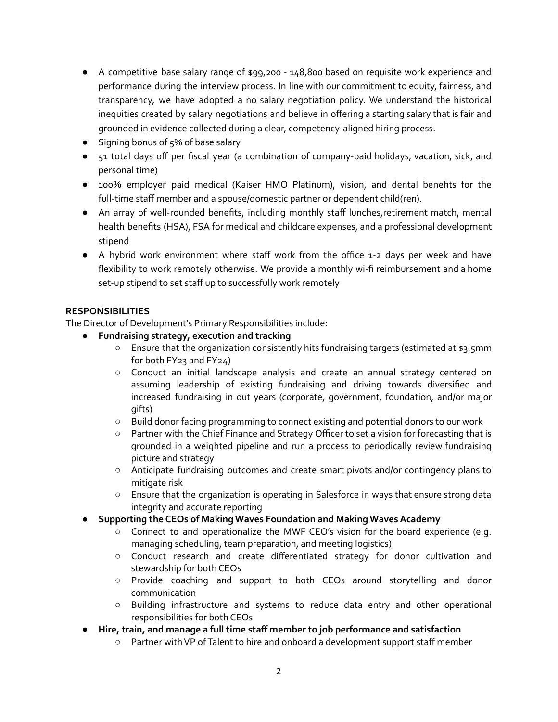- A competitive base salary range of \$99,200 148,800 based on requisite work experience and performance during the interview process. In line with our commitment to equity, fairness, and transparency, we have adopted a no salary negotiation policy. We understand the historical inequities created by salary negotiations and believe in offering a starting salary that is fair and grounded in evidence collected during a clear, competency-aligned hiring process.
- Signing bonus of 5% of base salary
- 51 total days off per fiscal year (a combination of company-paid holidays, vacation, sick, and personal time)
- 100% employer paid medical (Kaiser HMO Platinum), vision, and dental benefits for the full-time staff member and a spouse/domestic partner or dependent child(ren).
- An array of well-rounded benefits, including monthly staff lunches,retirement match, mental health benefits (HSA), FSA for medical and childcare expenses, and a professional development stipend
- A hybrid work environment where staff work from the office 1-2 days per week and have flexibility to work remotely otherwise. We provide a monthly wi-fi reimbursement and a home set-up stipend to set staff up to successfully work remotely

# **RESPONSIBILITIES**

The Director of Development's Primary Responsibilities include:

- **● Fundraising strategy, execution and tracking**
	- Ensure that the organization consistently hits fundraising targets (estimated at \$3.5mm for both FY23 and FY24)
	- Conduct an initial landscape analysis and create an annual strategy centered on assuming leadership of existing fundraising and driving towards diversified and increased fundraising in out years (corporate, government, foundation, and/or major gifts)
	- Build donor facing programming to connect existing and potential donors to our work
	- Partner with the Chief Finance and Strategy Officer to set a vision for forecasting that is grounded in a weighted pipeline and run a process to periodically review fundraising picture and strategy
	- Anticipate fundraising outcomes and create smart pivots and/or contingency plans to mitigate risk
	- Ensure that the organization is operating in Salesforce in ways that ensure strong data integrity and accurate reporting
- **● Supporting the CEOs of Making Waves Foundation and Making WavesAcademy**
	- Connect to and operationalize the MWF CEO's vision for the board experience (e.g. managing scheduling, team preparation, and meeting logistics)
	- Conduct research and create differentiated strategy for donor cultivation and stewardship for both CEOs
	- Provide coaching and support to both CEOs around storytelling and donor communication
	- Building infrastructure and systems to reduce data entry and other operational responsibilities for both CEOs
- **● Hire, train, and manage a full time staff member to job performance and satisfaction**
	- Partner withVP ofTalent to hire and onboard a development support staff member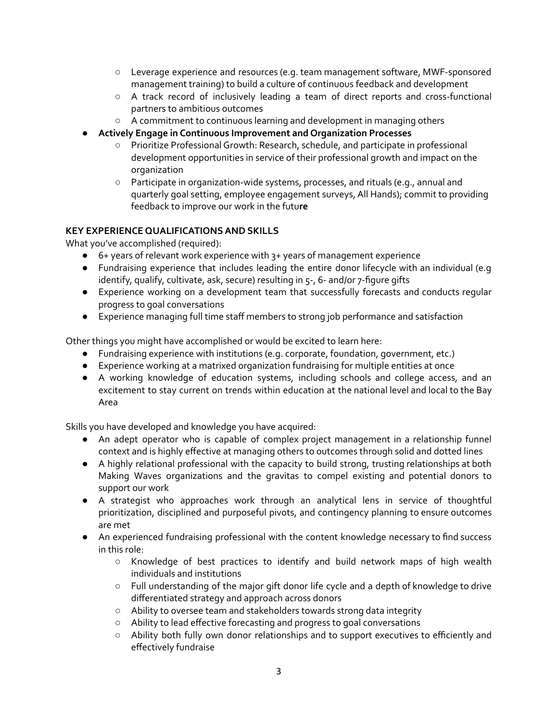- Leverage experience and resources (e.g. team management software, MWF-sponsored management training) to build a culture of continuous feedback and development
- A track record of inclusively leading a team of direct reports and cross-functional partners to ambitious outcomes
- A commitment to continuous learning and development in managing others
- **● Actively Engage in Continuous Improvement and Organization Processes**
	- Prioritize ProfessionalGrowth: Research, schedule, and participate in professional development opportunities in service of their professional growth and impact on the organization
	- **○** Participate in organization-wide systems, processes, and rituals (e.g., annual and quarterly goal setting, employee engagement surveys,All Hands); commit to providing feedback to improve our work in the futu**re**

## **KEY EXPERIENCE QUALIFICATIONSAND SKILLS**

What you've accomplished (required):

- 6+ years of relevant work experience with 3+ years of management experience
- Fundraising experience that includes leading the entire donor lifecycle with an individual (e.g identify, qualify, cultivate, ask, secure) resulting in 5-, 6- and/or 7-figure gifts
- Experience working on a development team that successfully forecasts and conducts regular progress to goal conversations
- Experience managing full time staff members to strong job performance and satisfaction

Other things you might have accomplished or would be excited to learn here:

- Fundraising experience with institutions (e.g. corporate, foundation, government, etc.)
- Experience working at a matrixed organization fundraising for multiple entities at once
- A working knowledge of education systems, including schools and college access, and an excitement to stay current on trends within education at the national level and local to the Bay Area

Skills you have developed and knowledge you have acquired:

- An adept operator who is capable of complex project management in a relationship funnel context and is highly effective at managing others to outcomes through solid and dotted lines
- A highly relational professional with the capacity to build strong, trusting relationships at both Making Waves organizations and the gravitas to compel existing and potential donors to support our work
- A strategist who approaches work through an analytical lens in service of thoughtful prioritization, disciplined and purposeful pivots, and contingency planning to ensure outcomes are met
- An experienced fundraising professional with the content knowledge necessary to find success in this role:
	- Knowledge of best practices to identify and build network maps of high wealth individuals and institutions
	- Full understanding of the major gift donor life cycle and a depth of knowledge to drive differentiated strategy and approach across donors
	- Ability to oversee team and stakeholders towards strong data integrity
	- Ability to lead effective forecasting and progress to goal conversations
	- Ability both fully own donor relationships and to support executives to efficiently and effectively fundraise